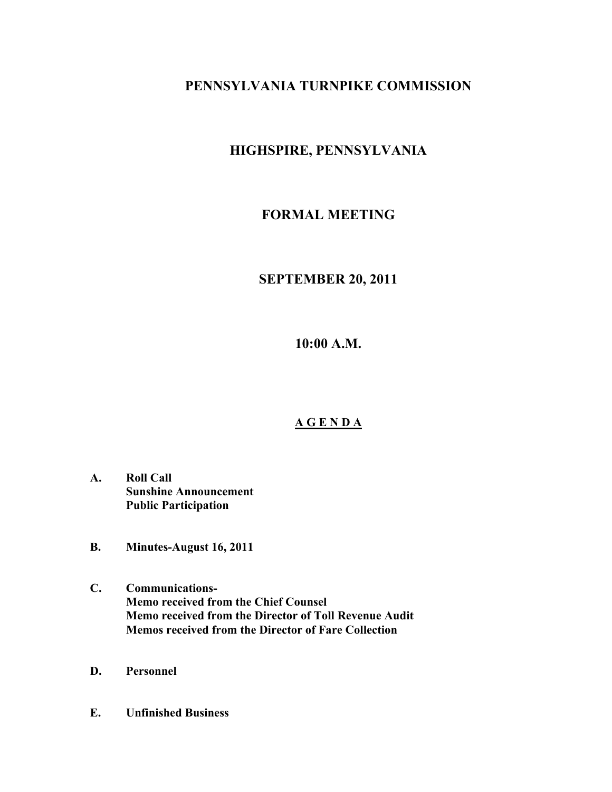# **PENNSYLVANIA TURNPIKE COMMISSION**

# **HIGHSPIRE, PENNSYLVANIA**

# **FORMAL MEETING**

## **SEPTEMBER 20, 2011**

**10:00 A.M.**

## **A G E N D A**

- **A. Roll Call Sunshine Announcement Public Participation**
- **B. Minutes-August 16, 2011**
- **C. Communications-Memo received from the Chief Counsel Memo received from the Director of Toll Revenue Audit Memos received from the Director of Fare Collection**
- **D. Personnel**
- **E. Unfinished Business**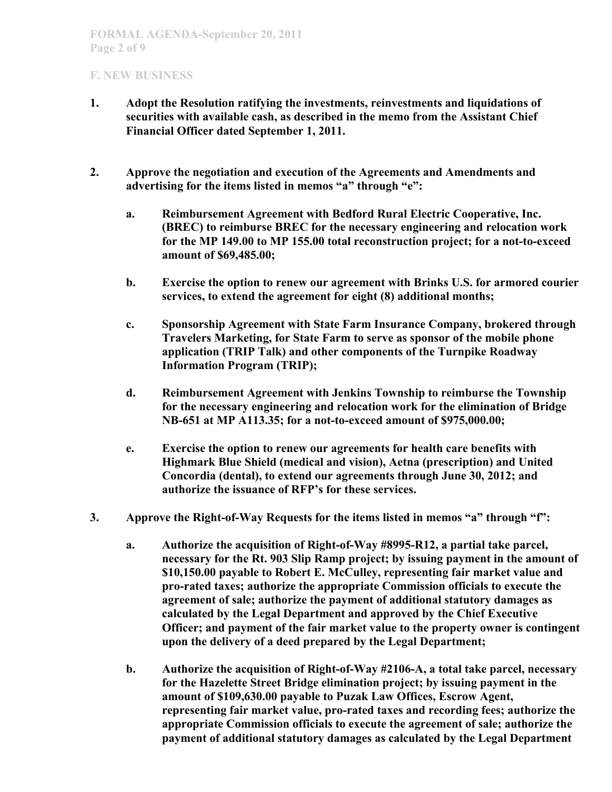- **1. Adopt the Resolution ratifying the investments, reinvestments and liquidations of securities with available cash, as described in the memo from the Assistant Chief Financial Officer dated September 1, 2011.**
- **2. Approve the negotiation and execution of the Agreements and Amendments and advertising for the items listed in memos "a" through "e":**
	- **a. Reimbursement Agreement with Bedford Rural Electric Cooperative, Inc. (BREC) to reimburse BREC for the necessary engineering and relocation work for the MP 149.00 to MP 155.00 total reconstruction project; for a not-to-exceed amount of \$69,485.00;**
	- **b. Exercise the option to renew our agreement with Brinks U.S. for armored courier services, to extend the agreement for eight (8) additional months;**
	- **c. Sponsorship Agreement with State Farm Insurance Company, brokered through Travelers Marketing, for State Farm to serve as sponsor of the mobile phone application (TRIP Talk) and other components of the Turnpike Roadway Information Program (TRIP);**
	- **d. Reimbursement Agreement with Jenkins Township to reimburse the Township for the necessary engineering and relocation work for the elimination of Bridge NB-651 at MP A113.35; for a not-to-exceed amount of \$975,000.00;**
	- **e. Exercise the option to renew our agreements for health care benefits with Highmark Blue Shield (medical and vision), Aetna (prescription) and United Concordia (dental), to extend our agreements through June 30, 2012; and authorize the issuance of RFP's for these services.**
- **3. Approve the Right-of-Way Requests for the items listed in memos "a" through "f":**
	- **a. Authorize the acquisition of Right-of-Way #8995-R12, a partial take parcel, necessary for the Rt. 903 Slip Ramp project; by issuing payment in the amount of \$10,150.00 payable to Robert E. McCulley, representing fair market value and pro-rated taxes; authorize the appropriate Commission officials to execute the agreement of sale; authorize the payment of additional statutory damages as calculated by the Legal Department and approved by the Chief Executive Officer; and payment of the fair market value to the property owner is contingent upon the delivery of a deed prepared by the Legal Department;**
	- **b. Authorize the acquisition of Right-of-Way #2106-A, a total take parcel, necessary for the Hazelette Street Bridge elimination project; by issuing payment in the amount of \$109,630.00 payable to Puzak Law Offices, Escrow Agent, representing fair market value, pro-rated taxes and recording fees; authorize the appropriate Commission officials to execute the agreement of sale; authorize the payment of additional statutory damages as calculated by the Legal Department**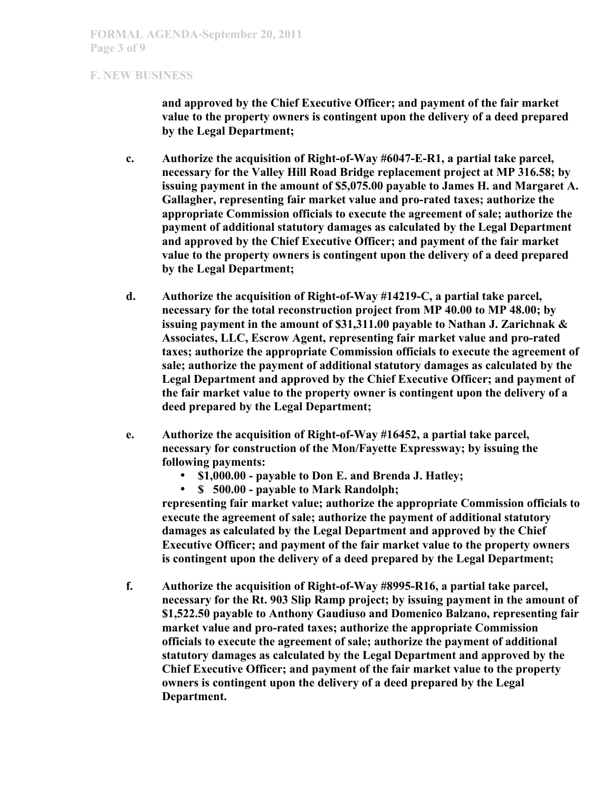**and approved by the Chief Executive Officer; and payment of the fair market value to the property owners is contingent upon the delivery of a deed prepared by the Legal Department;**

- **c. Authorize the acquisition of Right-of-Way #6047-E-R1, a partial take parcel, necessary for the Valley Hill Road Bridge replacement project at MP 316.58; by issuing payment in the amount of \$5,075.00 payable to James H. and Margaret A. Gallagher, representing fair market value and pro-rated taxes; authorize the appropriate Commission officials to execute the agreement of sale; authorize the payment of additional statutory damages as calculated by the Legal Department and approved by the Chief Executive Officer; and payment of the fair market value to the property owners is contingent upon the delivery of a deed prepared by the Legal Department;**
- **d. Authorize the acquisition of Right-of-Way #14219-C, a partial take parcel, necessary for the total reconstruction project from MP 40.00 to MP 48.00; by issuing payment in the amount of \$31,311.00 payable to Nathan J. Zarichnak & Associates, LLC, Escrow Agent, representing fair market value and pro-rated taxes; authorize the appropriate Commission officials to execute the agreement of sale; authorize the payment of additional statutory damages as calculated by the Legal Department and approved by the Chief Executive Officer; and payment of the fair market value to the property owner is contingent upon the delivery of a deed prepared by the Legal Department;**
- **e. Authorize the acquisition of Right-of-Way #16452, a partial take parcel, necessary for construction of the Mon/Fayette Expressway; by issuing the following payments:** 
	- **\$1,000.00 payable to Don E. and Brenda J. Hatley;**

• **\$ 500.00 - payable to Mark Randolph; representing fair market value; authorize the appropriate Commission officials to execute the agreement of sale; authorize the payment of additional statutory damages as calculated by the Legal Department and approved by the Chief Executive Officer; and payment of the fair market value to the property owners is contingent upon the delivery of a deed prepared by the Legal Department;** 

**f. Authorize the acquisition of Right-of-Way #8995-R16, a partial take parcel, necessary for the Rt. 903 Slip Ramp project; by issuing payment in the amount of \$1,522.50 payable to Anthony Gaudiuso and Domenico Balzano, representing fair market value and pro-rated taxes; authorize the appropriate Commission officials to execute the agreement of sale; authorize the payment of additional statutory damages as calculated by the Legal Department and approved by the Chief Executive Officer; and payment of the fair market value to the property owners is contingent upon the delivery of a deed prepared by the Legal Department.**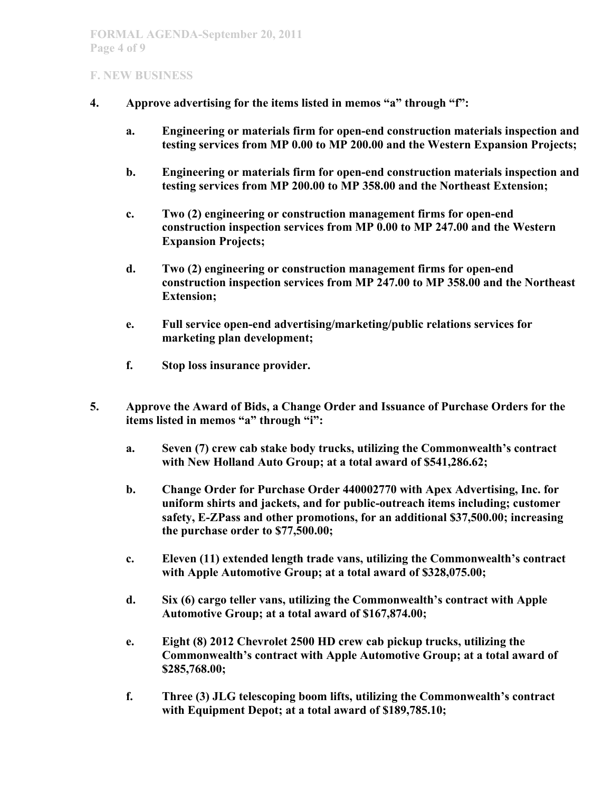- **4. Approve advertising for the items listed in memos "a" through "f":**
	- **a. Engineering or materials firm for open-end construction materials inspection and testing services from MP 0.00 to MP 200.00 and the Western Expansion Projects;**
	- **b. Engineering or materials firm for open-end construction materials inspection and testing services from MP 200.00 to MP 358.00 and the Northeast Extension;**
	- **c. Two (2) engineering or construction management firms for open-end construction inspection services from MP 0.00 to MP 247.00 and the Western Expansion Projects;**
	- **d. Two (2) engineering or construction management firms for open-end construction inspection services from MP 247.00 to MP 358.00 and the Northeast Extension;**
	- **e. Full service open-end advertising/marketing/public relations services for marketing plan development;**
	- **f. Stop loss insurance provider.**
- **5. Approve the Award of Bids, a Change Order and Issuance of Purchase Orders for the items listed in memos "a" through "i":**
	- **a. Seven (7) crew cab stake body trucks, utilizing the Commonwealth's contract with New Holland Auto Group; at a total award of \$541,286.62;**
	- **b. Change Order for Purchase Order 440002770 with Apex Advertising, Inc. for uniform shirts and jackets, and for public-outreach items including; customer safety, E-ZPass and other promotions, for an additional \$37,500.00; increasing the purchase order to \$77,500.00;**
	- **c. Eleven (11) extended length trade vans, utilizing the Commonwealth's contract with Apple Automotive Group; at a total award of \$328,075.00;**
	- **d. Six (6) cargo teller vans, utilizing the Commonwealth's contract with Apple Automotive Group; at a total award of \$167,874.00;**
	- **e. Eight (8) 2012 Chevrolet 2500 HD crew cab pickup trucks, utilizing the Commonwealth's contract with Apple Automotive Group; at a total award of \$285,768.00;**
	- **f. Three (3) JLG telescoping boom lifts, utilizing the Commonwealth's contract with Equipment Depot; at a total award of \$189,785.10;**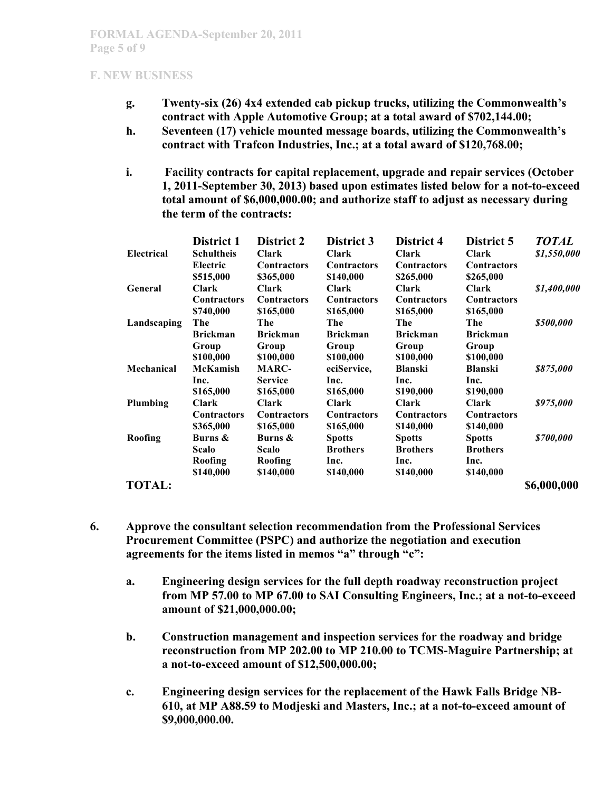- **g. Twenty-six (26) 4x4 extended cab pickup trucks, utilizing the Commonwealth's contract with Apple Automotive Group; at a total award of \$702,144.00;**
- **h. Seventeen (17) vehicle mounted message boards, utilizing the Commonwealth's contract with Trafcon Industries, Inc.; at a total award of \$120,768.00;**
- **i. Facility contracts for capital replacement, upgrade and repair services (October 1, 2011-September 30, 2013) based upon estimates listed below for a not-to-exceed total amount of \$6,000,000.00; and authorize staff to adjust as necessary during the term of the contracts:**

|                   | District 1         | <b>District 2</b>  | District 3         | District 4         | District 5         | <b>TOTAL</b> |
|-------------------|--------------------|--------------------|--------------------|--------------------|--------------------|--------------|
| <b>Electrical</b> | <b>Schultheis</b>  | <b>Clark</b>       | <b>Clark</b>       | <b>Clark</b>       | <b>Clark</b>       | \$1,550,000  |
|                   | Electric           | <b>Contractors</b> | <b>Contractors</b> | <b>Contractors</b> | <b>Contractors</b> |              |
|                   | \$515,000          | \$365,000          | \$140,000          | \$265,000          | \$265,000          |              |
| <b>General</b>    | <b>Clark</b>       | <b>Clark</b>       | Clark              | <b>Clark</b>       | <b>Clark</b>       | \$1,400,000  |
|                   | <b>Contractors</b> | <b>Contractors</b> | <b>Contractors</b> | <b>Contractors</b> | <b>Contractors</b> |              |
|                   | \$740,000          | \$165,000          | \$165,000          | \$165,000          | \$165,000          |              |
| Landscaping       | The                | The                | The                | The                | The                | \$500,000    |
|                   | <b>Brickman</b>    | <b>Brickman</b>    | <b>Brickman</b>    | <b>Brickman</b>    | <b>Brickman</b>    |              |
|                   | Group              | Group              | Group              | Group              | Group              |              |
|                   | \$100,000          | \$100,000          | \$100,000          | \$100,000          | \$100,000          |              |
| Mechanical        | McKamish           | <b>MARC-</b>       | eciService,        | <b>Blanski</b>     | <b>Blanski</b>     | \$875,000    |
|                   | Inc.               | <b>Service</b>     | Inc.               | Inc.               | Inc.               |              |
|                   | \$165,000          | \$165,000          | \$165,000          | \$190,000          | \$190,000          |              |
| Plumbing          | <b>Clark</b>       | <b>Clark</b>       | <b>Clark</b>       | <b>Clark</b>       | <b>Clark</b>       | \$975,000    |
|                   | <b>Contractors</b> | <b>Contractors</b> | <b>Contractors</b> | <b>Contractors</b> | <b>Contractors</b> |              |
|                   | \$365,000          | \$165,000          | \$165,000          | \$140,000          | \$140,000          |              |
| Roofing           | Burns &            | Burns &            | <b>Spotts</b>      | <b>Spotts</b>      | <b>Spotts</b>      | \$700,000    |
|                   | <b>Scalo</b>       | Scalo              | <b>Brothers</b>    | <b>Brothers</b>    | <b>Brothers</b>    |              |
|                   | Roofing            | Roofing            | Inc.               | Inc.               | Inc.               |              |
|                   | \$140,000          | \$140,000          | \$140,000          | \$140,000          | \$140,000          |              |
| <b>TOTAL:</b>     |                    |                    |                    |                    |                    | \$6,000,000  |

- **6. Approve the consultant selection recommendation from the Professional Services Procurement Committee (PSPC) and authorize the negotiation and execution agreements for the items listed in memos "a" through "c":**
	- **a. Engineering design services for the full depth roadway reconstruction project from MP 57.00 to MP 67.00 to SAI Consulting Engineers, Inc.; at a not-to-exceed amount of \$21,000,000.00;**
	- **b. Construction management and inspection services for the roadway and bridge reconstruction from MP 202.00 to MP 210.00 to TCMS-Maguire Partnership; at a not-to-exceed amount of \$12,500,000.00;**
	- **c. Engineering design services for the replacement of the Hawk Falls Bridge NB-610, at MP A88.59 to Modjeski and Masters, Inc.; at a not-to-exceed amount of \$9,000,000.00.**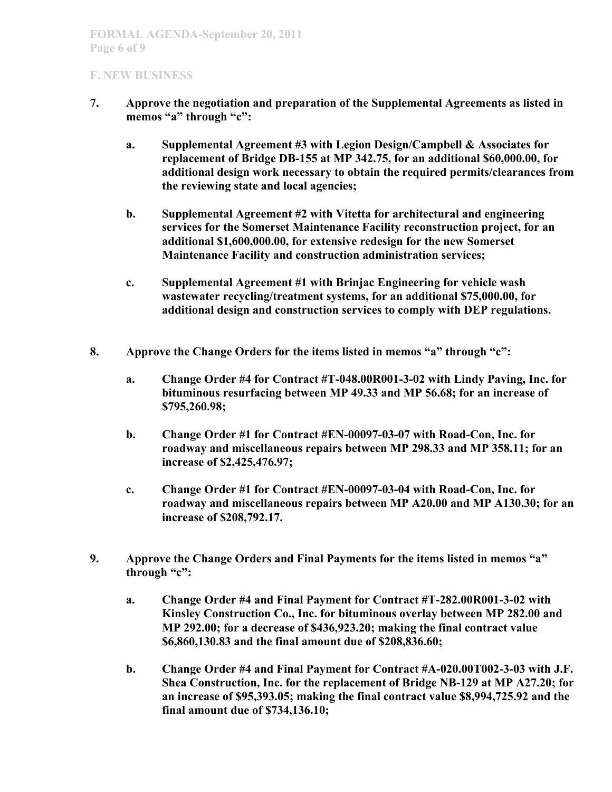- **7. Approve the negotiation and preparation of the Supplemental Agreements as listed in memos "a" through "c":**
	- **a. Supplemental Agreement #3 with Legion Design/Campbell & Associates for replacement of Bridge DB-155 at MP 342.75, for an additional \$60,000.00, for additional design work necessary to obtain the required permits/clearances from the reviewing state and local agencies;**
	- **b. Supplemental Agreement #2 with Vitetta for architectural and engineering services for the Somerset Maintenance Facility reconstruction project, for an additional \$1,600,000.00, for extensive redesign for the new Somerset Maintenance Facility and construction administration services;**
	- **c. Supplemental Agreement #1 with Brinjac Engineering for vehicle wash wastewater recycling/treatment systems, for an additional \$75,000.00, for additional design and construction services to comply with DEP regulations.**
- **8. Approve the Change Orders for the items listed in memos "a" through "c":**
	- **a. Change Order #4 for Contract #T-048.00R001-3-02 with Lindy Paving, Inc. for bituminous resurfacing between MP 49.33 and MP 56.68; for an increase of \$795,260.98;**
	- **b. Change Order #1 for Contract #EN-00097-03-07 with Road-Con, Inc. for roadway and miscellaneous repairs between MP 298.33 and MP 358.11; for an increase of \$2,425,476.97;**
	- **c. Change Order #1 for Contract #EN-00097-03-04 with Road-Con, Inc. for roadway and miscellaneous repairs between MP A20.00 and MP A130.30; for an increase of \$208,792.17.**
- **9. Approve the Change Orders and Final Payments for the items listed in memos "a" through "c":**
	- **a. Change Order #4 and Final Payment for Contract #T-282.00R001-3-02 with Kinsley Construction Co., Inc. for bituminous overlay between MP 282.00 and MP 292.00; for a decrease of \$436,923.20; making the final contract value \$6,860,130.83 and the final amount due of \$208,836.60;**
	- **b. Change Order #4 and Final Payment for Contract #A-020.00T002-3-03 with J.F. Shea Construction, Inc. for the replacement of Bridge NB-129 at MP A27.20; for an increase of \$95,393.05; making the final contract value \$8,994,725.92 and the final amount due of \$734,136.10;**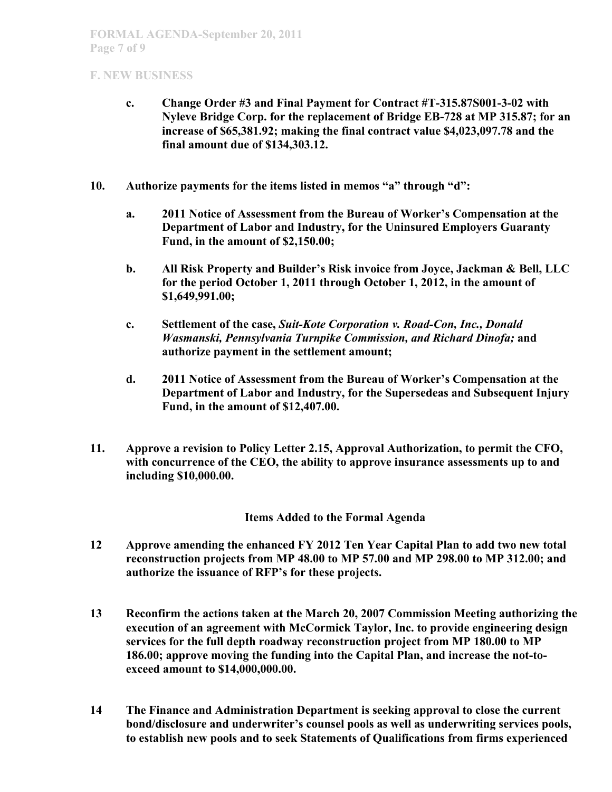- **c. Change Order #3 and Final Payment for Contract #T-315.87S001-3-02 with Nyleve Bridge Corp. for the replacement of Bridge EB-728 at MP 315.87; for an increase of \$65,381.92; making the final contract value \$4,023,097.78 and the final amount due of \$134,303.12.**
- **10. Authorize payments for the items listed in memos "a" through "d":**
	- **a. 2011 Notice of Assessment from the Bureau of Worker's Compensation at the Department of Labor and Industry, for the Uninsured Employers Guaranty Fund, in the amount of \$2,150.00;**
	- **b. All Risk Property and Builder's Risk invoice from Joyce, Jackman & Bell, LLC for the period October 1, 2011 through October 1, 2012, in the amount of \$1,649,991.00;**
	- **c. Settlement of the case,** *Suit-Kote Corporation v. Road-Con, Inc., Donald Wasmanski, Pennsylvania Turnpike Commission, and Richard Dinofa;* **and authorize payment in the settlement amount;**
	- **d. 2011 Notice of Assessment from the Bureau of Worker's Compensation at the Department of Labor and Industry, for the Supersedeas and Subsequent Injury Fund, in the amount of \$12,407.00.**
- **11. Approve a revision to Policy Letter 2.15, Approval Authorization, to permit the CFO, with concurrence of the CEO, the ability to approve insurance assessments up to and including \$10,000.00.**

## **Items Added to the Formal Agenda**

- **12 Approve amending the enhanced FY 2012 Ten Year Capital Plan to add two new total reconstruction projects from MP 48.00 to MP 57.00 and MP 298.00 to MP 312.00; and authorize the issuance of RFP's for these projects.**
- **13 Reconfirm the actions taken at the March 20, 2007 Commission Meeting authorizing the execution of an agreement with McCormick Taylor, Inc. to provide engineering design services for the full depth roadway reconstruction project from MP 180.00 to MP 186.00; approve moving the funding into the Capital Plan, and increase the not-toexceed amount to \$14,000,000.00.**
- **14 The Finance and Administration Department is seeking approval to close the current bond/disclosure and underwriter's counsel pools as well as underwriting services pools, to establish new pools and to seek Statements of Qualifications from firms experienced**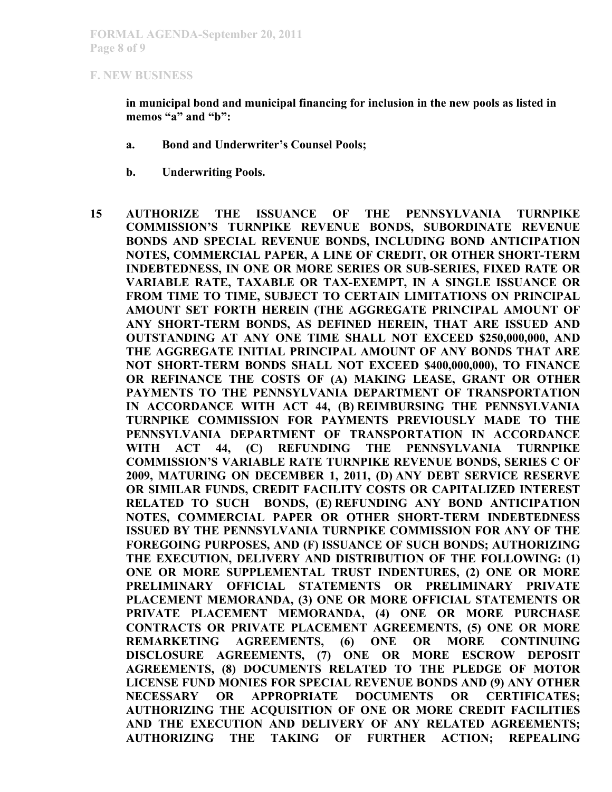**in municipal bond and municipal financing for inclusion in the new pools as listed in memos "a" and "b":**

- **a. Bond and Underwriter's Counsel Pools;**
- **b. Underwriting Pools.**
- **15 AUTHORIZE THE ISSUANCE OF THE PENNSYLVANIA TURNPIKE COMMISSION'S TURNPIKE REVENUE BONDS, SUBORDINATE REVENUE BONDS AND SPECIAL REVENUE BONDS, INCLUDING BOND ANTICIPATION NOTES, COMMERCIAL PAPER, A LINE OF CREDIT, OR OTHER SHORT-TERM INDEBTEDNESS, IN ONE OR MORE SERIES OR SUB-SERIES, FIXED RATE OR VARIABLE RATE, TAXABLE OR TAX-EXEMPT, IN A SINGLE ISSUANCE OR FROM TIME TO TIME, SUBJECT TO CERTAIN LIMITATIONS ON PRINCIPAL AMOUNT SET FORTH HEREIN (THE AGGREGATE PRINCIPAL AMOUNT OF ANY SHORT-TERM BONDS, AS DEFINED HEREIN, THAT ARE ISSUED AND OUTSTANDING AT ANY ONE TIME SHALL NOT EXCEED \$250,000,000, AND THE AGGREGATE INITIAL PRINCIPAL AMOUNT OF ANY BONDS THAT ARE NOT SHORT-TERM BONDS SHALL NOT EXCEED \$400,000,000), TO FINANCE OR REFINANCE THE COSTS OF (A) MAKING LEASE, GRANT OR OTHER PAYMENTS TO THE PENNSYLVANIA DEPARTMENT OF TRANSPORTATION IN ACCORDANCE WITH ACT 44, (B) REIMBURSING THE PENNSYLVANIA TURNPIKE COMMISSION FOR PAYMENTS PREVIOUSLY MADE TO THE PENNSYLVANIA DEPARTMENT OF TRANSPORTATION IN ACCORDANCE WITH ACT 44, (C) REFUNDING THE PENNSYLVANIA TURNPIKE COMMISSION'S VARIABLE RATE TURNPIKE REVENUE BONDS, SERIES C OF 2009, MATURING ON DECEMBER 1, 2011, (D) ANY DEBT SERVICE RESERVE OR SIMILAR FUNDS, CREDIT FACILITY COSTS OR CAPITALIZED INTEREST RELATED TO SUCH BONDS, (E) REFUNDING ANY BOND ANTICIPATION NOTES, COMMERCIAL PAPER OR OTHER SHORT-TERM INDEBTEDNESS ISSUED BY THE PENNSYLVANIA TURNPIKE COMMISSION FOR ANY OF THE FOREGOING PURPOSES, AND (F) ISSUANCE OF SUCH BONDS; AUTHORIZING THE EXECUTION, DELIVERY AND DISTRIBUTION OF THE FOLLOWING: (1) ONE OR MORE SUPPLEMENTAL TRUST INDENTURES, (2) ONE OR MORE PRELIMINARY OFFICIAL STATEMENTS OR PRELIMINARY PRIVATE PLACEMENT MEMORANDA, (3) ONE OR MORE OFFICIAL STATEMENTS OR PRIVATE PLACEMENT MEMORANDA, (4) ONE OR MORE PURCHASE CONTRACTS OR PRIVATE PLACEMENT AGREEMENTS, (5) ONE OR MORE REMARKETING AGREEMENTS, (6) ONE OR MORE CONTINUING DISCLOSURE AGREEMENTS, (7) ONE OR MORE ESCROW DEPOSIT AGREEMENTS, (8) DOCUMENTS RELATED TO THE PLEDGE OF MOTOR LICENSE FUND MONIES FOR SPECIAL REVENUE BONDS AND (9) ANY OTHER NECESSARY OR APPROPRIATE DOCUMENTS OR CERTIFICATES; AUTHORIZING THE ACQUISITION OF ONE OR MORE CREDIT FACILITIES AND THE EXECUTION AND DELIVERY OF ANY RELATED AGREEMENTS; AUTHORIZING THE TAKING OF FURTHER ACTION; REPEALING**